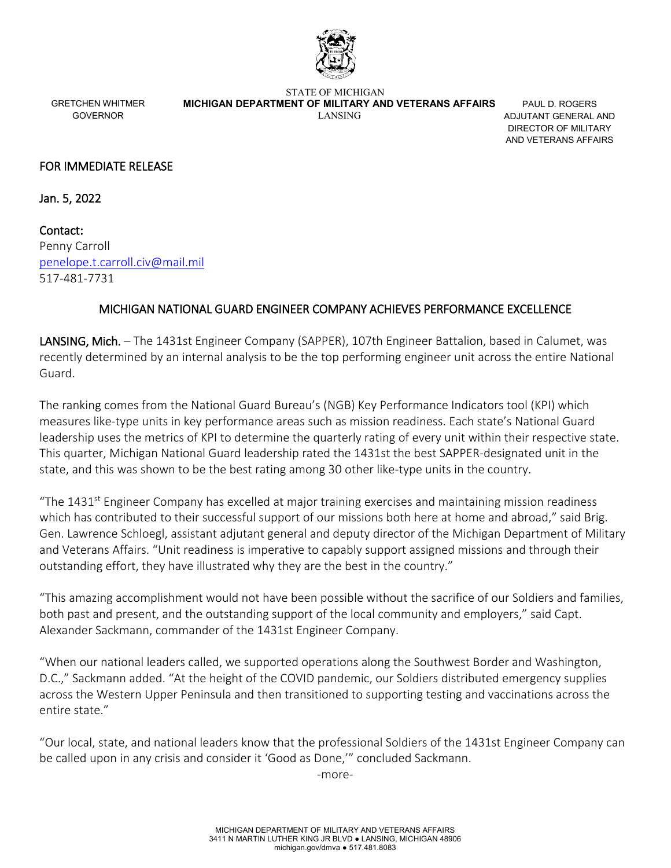

GRETCHEN WHITMER GOVERNOR

STATE OF MICHIGAN  **MICHIGAN DEPARTMENT OF MILITARY AND VETERANS AFFAIRS** LANSING

PAUL D. ROGERS ADJUTANT GENERAL AND DIRECTOR OF MILITARY AND VETERANS AFFAIRS

## FOR IMMEDIATE RELEASE

Jan. 5, 2022

Contact: Penny Carroll [penelope.t.carroll.civ@mail.mil](mailto:penelope.t.carroll.civ@mail.mil) 517-481-7731

## MICHIGAN NATIONAL GUARD ENGINEER COMPANY ACHIEVES PERFORMANCE EXCELLENCE

LANSING, Mich. – The 1431st Engineer Company (SAPPER), 107th Engineer Battalion, based in Calumet, was recently determined by an internal analysis to be the top performing engineer unit across the entire National Guard.

The ranking comes from the National Guard Bureau's (NGB) Key Performance Indicators tool (KPI) which measures like-type units in key performance areas such as mission readiness. Each state's National Guard leadership uses the metrics of KPI to determine the quarterly rating of every unit within their respective state. This quarter, Michigan National Guard leadership rated the 1431st the best SAPPER-designated unit in the state, and this was shown to be the best rating among 30 other like-type units in the country.

"The 1431<sup>st</sup> Engineer Company has excelled at major training exercises and maintaining mission readiness which has contributed to their successful support of our missions both here at home and abroad," said Brig. Gen. Lawrence Schloegl, assistant adjutant general and deputy director of the Michigan Department of Military and Veterans Affairs. "Unit readiness is imperative to capably support assigned missions and through their outstanding effort, they have illustrated why they are the best in the country."

"This amazing accomplishment would not have been possible without the sacrifice of our Soldiers and families, both past and present, and the outstanding support of the local community and employers," said Capt. Alexander Sackmann, commander of the 1431st Engineer Company.

"When our national leaders called, we supported operations along the Southwest Border and Washington, D.C.," Sackmann added. "At the height of the COVID pandemic, our Soldiers distributed emergency supplies across the Western Upper Peninsula and then transitioned to supporting testing and vaccinations across the entire state."

"Our local, state, and national leaders know that the professional Soldiers of the 1431st Engineer Company can be called upon in any crisis and consider it 'Good as Done,'" concluded Sackmann.

-more-